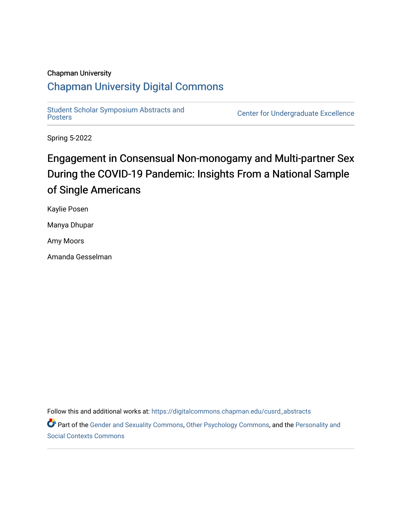## Chapman University

## [Chapman University Digital Commons](https://digitalcommons.chapman.edu/)

Student Scholar Symposium Abstracts and<br>Posters

Center for Undergraduate Excellence

Spring 5-2022

## Engagement in Consensual Non-monogamy and Multi-partner Sex During the COVID-19 Pandemic: Insights From a National Sample of Single Americans

Kaylie Posen

Manya Dhupar

Amy Moors

Amanda Gesselman

Follow this and additional works at: [https://digitalcommons.chapman.edu/cusrd\\_abstracts](https://digitalcommons.chapman.edu/cusrd_abstracts?utm_source=digitalcommons.chapman.edu%2Fcusrd_abstracts%2F518&utm_medium=PDF&utm_campaign=PDFCoverPages) 

Part of the [Gender and Sexuality Commons](http://network.bepress.com/hgg/discipline/420?utm_source=digitalcommons.chapman.edu%2Fcusrd_abstracts%2F518&utm_medium=PDF&utm_campaign=PDFCoverPages), [Other Psychology Commons](http://network.bepress.com/hgg/discipline/415?utm_source=digitalcommons.chapman.edu%2Fcusrd_abstracts%2F518&utm_medium=PDF&utm_campaign=PDFCoverPages), and the [Personality and](http://network.bepress.com/hgg/discipline/413?utm_source=digitalcommons.chapman.edu%2Fcusrd_abstracts%2F518&utm_medium=PDF&utm_campaign=PDFCoverPages)  [Social Contexts Commons](http://network.bepress.com/hgg/discipline/413?utm_source=digitalcommons.chapman.edu%2Fcusrd_abstracts%2F518&utm_medium=PDF&utm_campaign=PDFCoverPages)